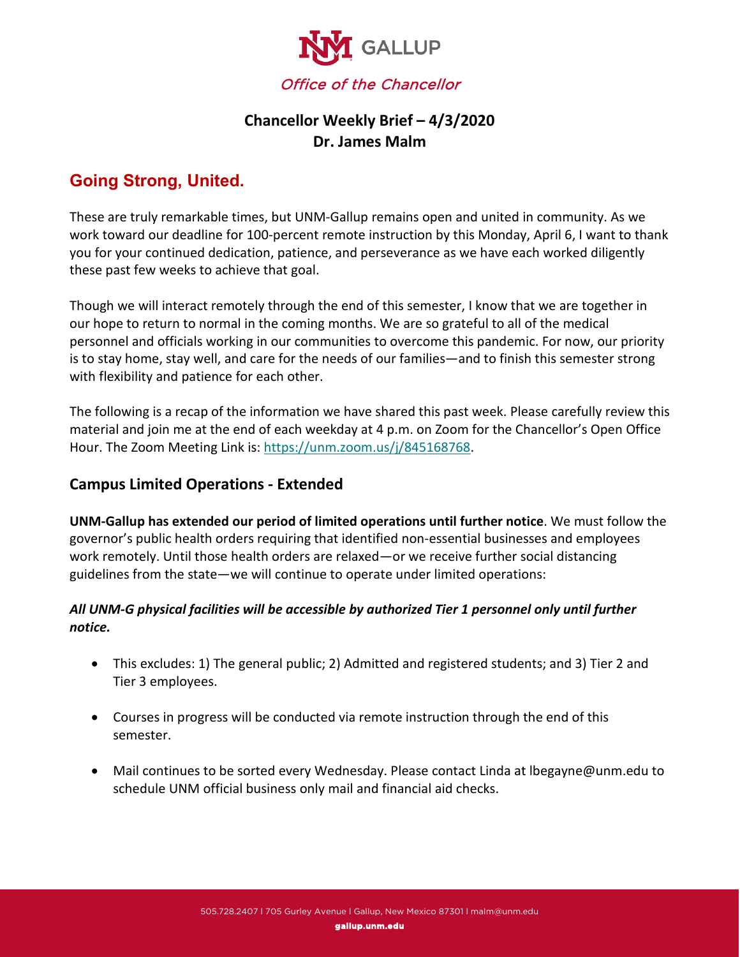

## **Chancellor Weekly Brief – 4/3/2020 Dr. James Malm**

# **Going Strong, United.**

These are truly remarkable times, but UNM-Gallup remains open and united in community. As we work toward our deadline for 100-percent remote instruction by this Monday, April 6, I want to thank you for your continued dedication, patience, and perseverance as we have each worked diligently these past few weeks to achieve that goal.

Though we will interact remotely through the end of this semester, I know that we are together in our hope to return to normal in the coming months. We are so grateful to all of the medical personnel and officials working in our communities to overcome this pandemic. For now, our priority is to stay home, stay well, and care for the needs of our families—and to finish this semester strong with flexibility and patience for each other.

The following is a recap of the information we have shared this past week. Please carefully review this material and join me at the end of each weekday at 4 p.m. on Zoom for the Chancellor's Open Office Hour. The Zoom Meeting Link is: [https://unm.zoom.us/j/845168768.](https://unm.zoom.us/j/845168768)

### **Campus Limited Operations - Extended**

**UNM-Gallup has extended our period of limited operations until further notice**. We must follow the governor's public health orders requiring that identified non-essential businesses and employees work remotely. Until those health orders are relaxed—or we receive further social distancing guidelines from the state—we will continue to operate under limited operations:

#### *All UNM-G physical facilities will be accessible by authorized Tier 1 personnel only until further notice.*

- This excludes: 1) The general public; 2) Admitted and registered students; and 3) Tier 2 and Tier 3 employees.
- Courses in progress will be conducted via remote instruction through the end of this semester.
- Mail continues to be sorted every Wednesday. Please contact Linda at lbegayne@unm.edu to schedule UNM official business only mail and financial aid checks.